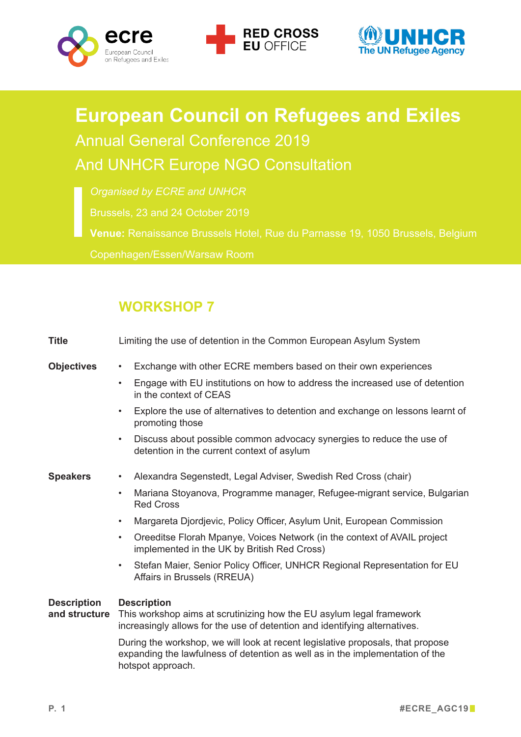





## **European Council on Refugees and Exiles** Annual General Conference 2019 And UNHCR Europe NGO Consultation

*Organised by ECRE and UNHCR*

**Venue:** Renaissance Brussels Hotel, Rue du Parnasse 19, 1050 Brussels, Belgium

Copenhagen/Essen/Warsaw Room

## **WORKSHOP 7**

| <b>Title</b>                        | Limiting the use of detention in the Common European Asylum System                                                                                                                                                                                                                                                                                                                                                                                                                                                                  |
|-------------------------------------|-------------------------------------------------------------------------------------------------------------------------------------------------------------------------------------------------------------------------------------------------------------------------------------------------------------------------------------------------------------------------------------------------------------------------------------------------------------------------------------------------------------------------------------|
| <b>Objectives</b>                   | Exchange with other ECRE members based on their own experiences<br>$\bullet$<br>Engage with EU institutions on how to address the increased use of detention<br>$\bullet$<br>in the context of CEAS                                                                                                                                                                                                                                                                                                                                 |
|                                     | Explore the use of alternatives to detention and exchange on lessons learnt of<br>$\bullet$<br>promoting those<br>Discuss about possible common advocacy synergies to reduce the use of<br>$\bullet$<br>detention in the current context of asylum                                                                                                                                                                                                                                                                                  |
| <b>Speakers</b>                     | Alexandra Segenstedt, Legal Adviser, Swedish Red Cross (chair)<br>Mariana Stoyanova, Programme manager, Refugee-migrant service, Bulgarian<br>$\bullet$<br><b>Red Cross</b><br>Margareta Djordjevic, Policy Officer, Asylum Unit, European Commission<br>$\bullet$<br>Oreeditse Florah Mpanye, Voices Network (in the context of AVAIL project<br>$\bullet$<br>implemented in the UK by British Red Cross)<br>Stefan Maier, Senior Policy Officer, UNHCR Regional Representation for EU<br>$\bullet$<br>Affairs in Brussels (RREUA) |
| <b>Description</b><br>and structure | <b>Description</b><br>This workshop aims at scrutinizing how the EU asylum legal framework<br>increasingly allows for the use of detention and identifying alternatives.<br>During the workshop, we will look at recent legislative proposals, that propose<br>expanding the lawfulness of detention as well as in the implementation of the<br>hotspot approach.                                                                                                                                                                   |